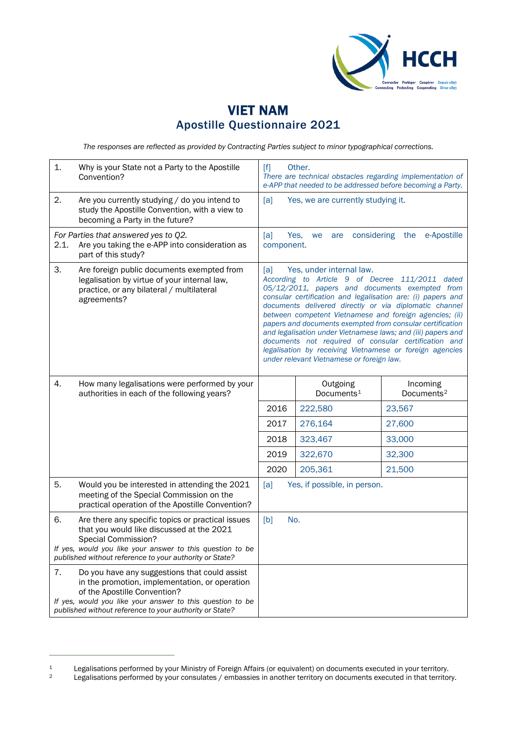

## VIET NAM Apostille Questionnaire 2021

*The responses are reflected as provided by Contracting Parties subject to minor typographical corrections.*

| 1.                                                                                                                    | Why is your State not a Party to the Apostille<br>Convention?                                                                                                                                                                                           | Other.<br>$[f]$<br>There are technical obstacles regarding implementation of<br>e-APP that needed to be addressed before becoming a Party.                                                                                                                                                                                                                                                                                                                                                                                                                                                                             |                                    |                                    |
|-----------------------------------------------------------------------------------------------------------------------|---------------------------------------------------------------------------------------------------------------------------------------------------------------------------------------------------------------------------------------------------------|------------------------------------------------------------------------------------------------------------------------------------------------------------------------------------------------------------------------------------------------------------------------------------------------------------------------------------------------------------------------------------------------------------------------------------------------------------------------------------------------------------------------------------------------------------------------------------------------------------------------|------------------------------------|------------------------------------|
| 2.                                                                                                                    | Are you currently studying / do you intend to<br>study the Apostille Convention, with a view to<br>becoming a Party in the future?                                                                                                                      | [a]<br>Yes, we are currently studying it.                                                                                                                                                                                                                                                                                                                                                                                                                                                                                                                                                                              |                                    |                                    |
| For Parties that answered yes to Q2.<br>Are you taking the e-APP into consideration as<br>2.1.<br>part of this study? |                                                                                                                                                                                                                                                         | [a]<br>considering<br>e-Apostille<br>Yes,<br>the<br>we<br>are<br>component.                                                                                                                                                                                                                                                                                                                                                                                                                                                                                                                                            |                                    |                                    |
| 3.                                                                                                                    | Are foreign public documents exempted from<br>legalisation by virtue of your internal law,<br>practice, or any bilateral / multilateral<br>agreements?                                                                                                  | Yes, under internal law.<br>[a]<br>According to Article 9 of Decree 111/2011 dated<br>05/12/2011, papers and documents exempted from<br>consular certification and legalisation are: (i) papers and<br>documents delivered directly or via diplomatic channel<br>between competent Vietnamese and foreign agencies; (ii)<br>papers and documents exempted from consular certification<br>and legalisation under Vietnamese laws; and (iii) papers and<br>documents not required of consular certification and<br>legalisation by receiving Vietnamese or foreign agencies<br>under relevant Vietnamese or foreign law. |                                    |                                    |
| 4.                                                                                                                    | How many legalisations were performed by your<br>authorities in each of the following years?                                                                                                                                                            |                                                                                                                                                                                                                                                                                                                                                                                                                                                                                                                                                                                                                        | Outgoing<br>Documents <sup>1</sup> | Incoming<br>Documents <sup>2</sup> |
|                                                                                                                       |                                                                                                                                                                                                                                                         | 2016                                                                                                                                                                                                                                                                                                                                                                                                                                                                                                                                                                                                                   | 222,580                            | 23,567                             |
|                                                                                                                       |                                                                                                                                                                                                                                                         | 2017                                                                                                                                                                                                                                                                                                                                                                                                                                                                                                                                                                                                                   | 276,164                            | 27,600                             |
|                                                                                                                       |                                                                                                                                                                                                                                                         | 2018                                                                                                                                                                                                                                                                                                                                                                                                                                                                                                                                                                                                                   | 323,467                            | 33,000                             |
|                                                                                                                       |                                                                                                                                                                                                                                                         | 2019                                                                                                                                                                                                                                                                                                                                                                                                                                                                                                                                                                                                                   | 322,670                            | 32,300                             |
|                                                                                                                       |                                                                                                                                                                                                                                                         | 2020                                                                                                                                                                                                                                                                                                                                                                                                                                                                                                                                                                                                                   | 205,361                            | 21,500                             |
| 5.                                                                                                                    | Would you be interested in attending the 2021<br>meeting of the Special Commission on the<br>practical operation of the Apostille Convention?                                                                                                           | [a]<br>Yes, if possible, in person.                                                                                                                                                                                                                                                                                                                                                                                                                                                                                                                                                                                    |                                    |                                    |
| 6.                                                                                                                    | Are there any specific topics or practical issues<br>that you would like discussed at the 2021<br>Special Commission?<br>If yes, would you like your answer to this question to be<br>published without reference to your authority or State?           | No.<br>[b]                                                                                                                                                                                                                                                                                                                                                                                                                                                                                                                                                                                                             |                                    |                                    |
| 7.                                                                                                                    | Do you have any suggestions that could assist<br>in the promotion, implementation, or operation<br>of the Apostille Convention?<br>If yes, would you like your answer to this question to be<br>published without reference to your authority or State? |                                                                                                                                                                                                                                                                                                                                                                                                                                                                                                                                                                                                                        |                                    |                                    |

<span id="page-0-0"></span><sup>1</sup> Legalisations performed by your Ministry of Foreign Affairs (or equivalent) on documents executed in your territory.<br>1 Legalisations performed by your consulates / embassies in another territory on documents executed in

<span id="page-0-1"></span>Legalisations performed by your consulates / embassies in another territory on documents executed in that territory.